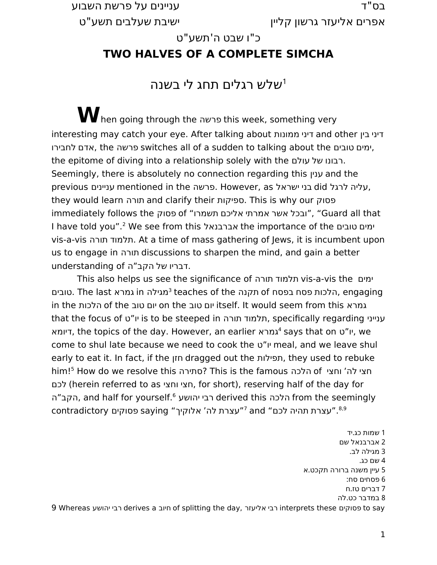" בס ד עניינים על פרשת השבוע

אפרים אליעזר גרשון קליין " ישיבת שעלבים תשע ט

כ"ו שבט ה'תשע"ט

## **TWO HALVES OF A COMPLETE SIMCHA**

# שלש רגלים תחג לי בשנה $^1$  $^1$

**W**hen going through the פרשה this week, something very interesting may catch your eye. After talking about ממונות דיני and other בין דיני לחבירו אדם, the פרשה switches all of a sudden to talking about the טובים ימים, the epitome of diving into a relationship solely with the רבונו של עולם. Seemingly, there is absolutely no connection regarding this ענין and the previous עניינים mentioned in the פרשה. However, as ישראל בני did לרגל עליה, they would learn תורה and clarify their ספיקות. This is why our פסוק immediately follows the פסוק of "ובכל אשר אמרתי אליכם תשמרו" (Guard all that I have told you".[2](#page-0-1) We see from this אברבנאל the importance of the טובים ימים vis-a-vis תורה תלמוד. At a time of mass gathering of Jews, it is incumbent upon us to engage in תורה discussions to sharpen the mind, and gain a better . דבריו של הקב"ה understanding of .

This also helps us see the significance of תורה תלמוד vis-a-vis the ימים טובים. The last גמרא in גמרא teaches of the תקנה teaches of the הלכות פסח בפסח. in the הלכות of the טוב יום on the טוב יום itself. It would seem from this גמרא that the focus of ט יו " is to be steeped in תורה תלמוד, specifically regarding ענייני דיומא, the topics of the day. However, an earlier גמרא[4](#page-0-3) says that on ט יו " , we come to shul late because we need to cook the ט יו " meal, and we leave shul early to eat it. In fact, if the חזן dragged out the תפילות, they used to rebuke him![5](#page-0-4) How do we resolve this סתירה ?This is the famous הלכה of ' וחצי לה חצי לכם) herein referred to as וחצי חצי, for short), reserving half of the day for הקב"ה, and half for yourself.<sup>[6](#page-0-5)</sup> הלכה derived this הלכה, and half for yourself.<sup>6</sup> עצרת תהיה לכם" and <sup>[7](#page-0-6)</sup>"עצרת לה׳ אלוקיך" saying פסוקים contradictory

<span id="page-0-8"></span><span id="page-0-7"></span><span id="page-0-6"></span><span id="page-0-5"></span><span id="page-0-4"></span><span id="page-0-3"></span><span id="page-0-2"></span><span id="page-0-1"></span><span id="page-0-0"></span>1 . שמות כג יד 2 אברבנאל שם 3 מגילה לב. 4 שם כג . 5 . עיין משנה ברורה תקכט א 6 פסחים סח : 7 . דברים טז ח 8 . במדבר כט לה 9 Whereas יהושע רבי derives a חיוב of splitting the day, אליעזר רבי interprets these פסוקים to say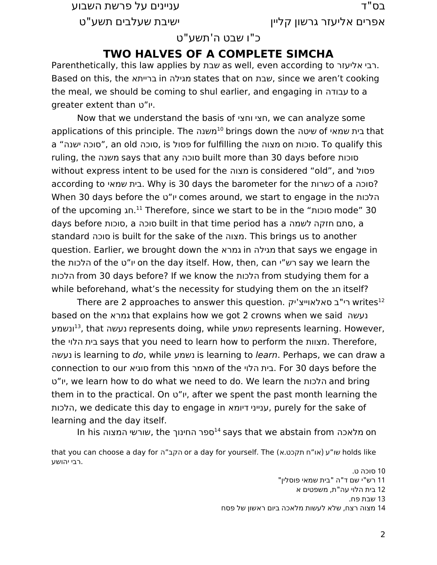" בס ד עניינים על פרשת השבוע

אפרים אליעזר גרשון קליין " ישיבת שעלבים תשע ט

#### כ"ו שבט ה'תשע"ט

#### **TWO HALVES OF A COMPLETE SIMCHA**

Parenthetically, this law applies by שבת as well, even according to הבי אליעזר. Based on this, the ברייתא in מגילה states that on שבת, since we aren't cooking the meal, we should be coming to shul earlier, and engaging in עבודה to a greater extent than ט יו " .

Now that we understand the basis of וחצי חצי, we can analyze some applications of this principle. The בית שמאי of שיטה that a "ישנה סוכה", an old סוכה, is פסול for fulfilling the מצוה on סוכות. To qualify this ruling, the משנה says that any סוכה built more than 30 days before סוכות without express intent to be used for the מצוה is considered "old", and פסול according to שמאי בית. Why is 30 days the barometer for the כשרות of a סוכה ? When 30 days before the ט יו " comes around, we start to engage in the הלכות of the upcoming חג. [11](#page-1-1) Therefore, since we start to be in the "סוכות mode" 30 days before סוכות, a סוכה built in that time period has a לשמה חזקה סתם , a standard סוכה is built for the sake of the מצוה. This brings us to another question. Earlier, we brought down the גמרא in מגילה that says we engage in the הלכות of the ט יו " on the day itself. How, then, can י רש " say we learn the הלכות from 30 days before? If we know the הלכות from studying them for a while beforehand, what's the necessity for studying them on the חג itself?

There are 2 approaches to answer this question. רי"ב סאלאוייצ'יק based on the גמרא that explains how we got 2 crowns when we said נעשה ונשמע[13](#page-1-3), that נעשה represents doing, while נשמע represents learning. However, the הלוי בית says that you need to learn how to perform the מצוות. Therefore, נעשה is learning to do, while נשמע is learning to learn. Perhaps, we can draw a connection to our סוגיא from this מאמר of the הלוי בית. For 30 days before the ט יו " , we learn how to do what we need to do. We learn the הלכות and bring them in to the practical. On  $v''$ וי", after we spent the past month learning the הלכות, we dedicate this day to engage in דיומא ענייני, purely for the sake of learning and the day itself.

In his השורשי המצוה says that we abstain from וח מלאכה on

that you can choose a day for הקב"ה or a day for yourself. The (או"ח תקכט.א) w holds like .רבי יהושע

<span id="page-1-2"></span><span id="page-1-1"></span><span id="page-1-0"></span>10 סוכה ט .

- "11 רש"י שם ד"ה "בית שמאי פוסלין "
	- 12 בית הלוי עה"ת, משפטים א

<span id="page-1-4"></span><span id="page-1-3"></span>13 שבת פח .

14 מצוה רצח, שלא לעשות מלאכה ביום ראשון של פסח